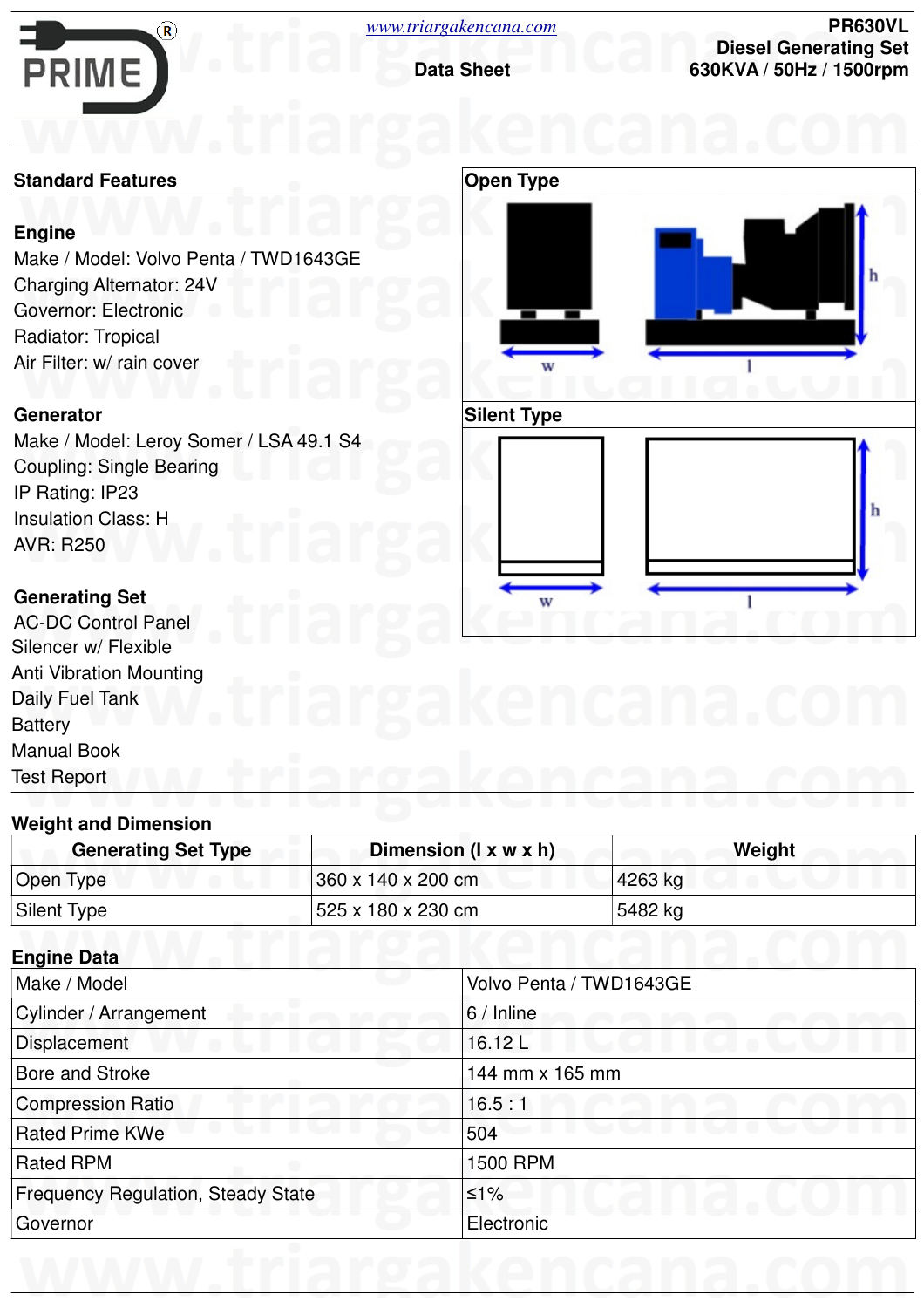

**Data Sheet**

| <b>Standard Features</b>                                                                                                                                             | <b>Open Type</b>   |
|----------------------------------------------------------------------------------------------------------------------------------------------------------------------|--------------------|
| <b>Engine</b><br>Make / Model: Volvo Penta / TWD1643GE<br><b>Charging Alternator: 24V</b><br>Governor: Electronic<br>Radiator: Tropical<br>Air Filter: w/ rain cover |                    |
| <b>Generator</b>                                                                                                                                                     | <b>Silent Type</b> |
| Make / Model: Leroy Somer / LSA 49.1 S4<br><b>Coupling: Single Bearing</b><br>IP Rating: IP23<br>Insulation Class: H<br><b>AVR: R250</b>                             |                    |
| <b>Generating Set</b>                                                                                                                                                |                    |
| <b>AC-DC Control Panel</b>                                                                                                                                           |                    |
| Silencer w/ Flexible                                                                                                                                                 |                    |
| <b>Anti Vibration Mounting</b>                                                                                                                                       |                    |
| Daily Fuel Tank                                                                                                                                                      |                    |
| <b>Battery</b>                                                                                                                                                       |                    |

## **Weight and Dimension**

| <b>Generating Set Type</b> | Dimension $(I \times w \times h)$ | Weight  |
|----------------------------|-----------------------------------|---------|
| Open Type                  | 360 x 140 x 200 cm                | 4263 kg |
| Silent Type                | 525 x 180 x 230 cm                | 5482 kg |

## **Engine Data**

Manual Book Test Report

| Make / Model                              | Volvo Penta / TWD1643GE    |
|-------------------------------------------|----------------------------|
| Cylinder / Arrangement                    | 6 / Inline                 |
| Displacement<br><b>VV OLI ICII</b>        | 16.12L<br><u>Latova Li</u> |
| <b>Bore and Stroke</b>                    | 144 mm x 165 mm            |
| <b>Compression Ratio</b>                  | 16.5:1                     |
| .<br>w<br>Rated Prime KWe                 | 504                        |
| <b>Rated RPM</b>                          | 1500 RPM                   |
| <b>Frequency Regulation, Steady State</b> | $≤1\%$                     |
| Governor                                  | Electronic                 |
|                                           |                            |